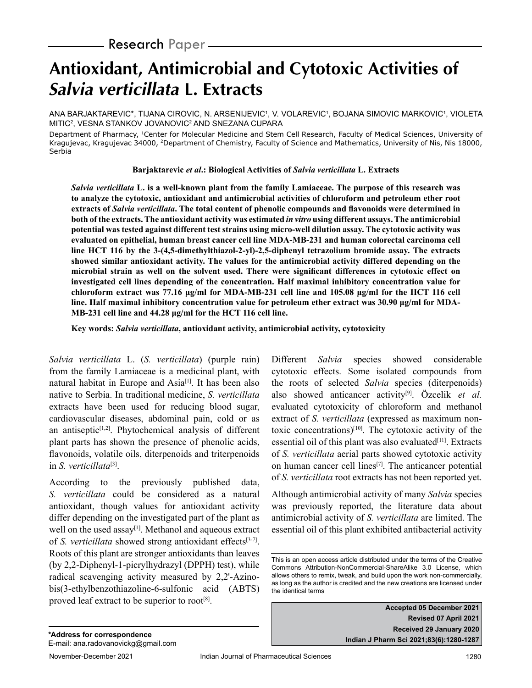# **Antioxidant, Antimicrobial and Cytotoxic Activities of Salvia verticillata L. Extracts**

ANA BARJAKTAREVIC\*, TIJANA CIROVIC, N. ARSENIJEVIC<sup>1</sup>, V. VOLAREVIC<sup>1</sup>, BOJANA SIMOVIC MARKOVIC<sup>1</sup>, VIOLETA MITIC<sup>2</sup>, VESNA STANKOV JOVANOVIC<sup>2</sup> AND SNEZANA CUPARA

Department of Pharmacy, 1Center for Molecular Medicine and Stem Cell Research, Faculty of Medical Sciences, University of Kragujevac, Kragujevac 34000, 2Department of Chemistry, Faculty of Science and Mathematics, University of Nis, Nis 18000, Serbia

**Barjaktarevic** *et al***.: Biological Activities of** *Salvia verticillata* **L. Extracts**

*Salvia verticillata* **L. is a well-known plant from the family Lamiaceae. The purpose of this research was to analyze the cytotoxic, antioxidant and antimicrobial activities of chloroform and petroleum ether root extracts of** *Salvia verticillata***. The total content of phenolic compounds and flavonoids were determined in both of the extracts. The antioxidant activity was estimated** *in vitro* **using different assays. The antimicrobial potential was tested against different test strains using micro-well dilution assay. The cytotoxic activity was evaluated on epithelial, human breast cancer cell line MDA-MB-231 and human colorectal carcinoma cell line HCT 116 by the 3-(4,5-dimethylthiazol-2-yl)-2,5-diphenyl tetrazolium bromide assay. The extracts showed similar antioxidant activity. The values for the antimicrobial activity differed depending on the microbial strain as well on the solvent used. There were significant differences in cytotoxic effect on investigated cell lines depending of the concentration. Half maximal inhibitory concentration value for chloroform extract was 77.16 μg/ml for MDA-MB-231 cell line and 105.08 μg/ml for the HCT 116 cell line. Half maximal inhibitory concentration value for petroleum ether extract was 30.90 μg/ml for MDA-MB-231 cell line and 44.28 μg/ml for the HCT 116 cell line.**

**Key words:** *Salvia verticillata***, antioxidant activity, antimicrobial activity, cytotoxicity**

*Salvia verticillata* L. (*S. verticillata*) (purple rain) from the family Lamiaceae is a medicinal plant, with natural habitat in Europe and Asia<sup>[1]</sup>. It has been also native to Serbia. In traditional medicine, *S. verticillata* extracts have been used for reducing blood sugar, cardiovascular diseases, abdominal pain, cold or as an antiseptic<sup>[1,2]</sup>. Phytochemical analysis of different plant parts has shown the presence of phenolic acids, flavonoids, volatile oils, diterpenoids and triterpenoids in *S. verticillata*[3].

According to the previously published data, *S. verticillata* could be considered as a natural antioxidant, though values for antioxidant activity differ depending on the investigated part of the plant as well on the used assay<sup>[1]</sup>. Methanol and aqueous extract of *S. verticillata* showed strong antioxidant effects<sup>[3-7]</sup>. Roots of this plant are stronger antioxidants than leaves (by 2,2-Diphenyl-1-picrylhydrazyl (DPPH) test), while radical scavenging activity measured by 2,2'-Azinobis(3-ethylbenzothiazoline-6-sulfonic acid (ABTS) proved leaf extract to be superior to root<sup>[8]</sup>.

Different *Salvia* species showed considerable cytotoxic effects. Some isolated compounds from the roots of selected *Salvia* species (diterpenoids) also showed anticancer activity[9]. Özcelik *et al.* evaluated cytotoxicity of chloroform and methanol extract of *S. verticillata* (expressed as maximum nontoxic concentrations)[10]. The cytotoxic activity of the essential oil of this plant was also evaluated $[11]$ . Extracts of *S. verticillata* aerial parts showed cytotoxic activity on human cancer cell lines<sup>[7]</sup>. The anticancer potential of *S. verticillata* root extracts has not been reported yet.

Although antimicrobial activity of many *Salvia* species was previously reported, the literature data about antimicrobial activity of *S. verticillata* are limited. The essential oil of this plant exhibited antibacterial activity

**Accepted 05 December 2021 Revised 07 April 2021 Received 29 January 2020 Indian J Pharm Sci 2021;83(6):1280-1287**

This is an open access article distributed under the terms of the Creative Commons Attribution-NonCommercial-ShareAlike 3.0 License, which allows others to remix, tweak, and build upon the work non-commercially, as long as the author is credited and the new creations are licensed under the identical terms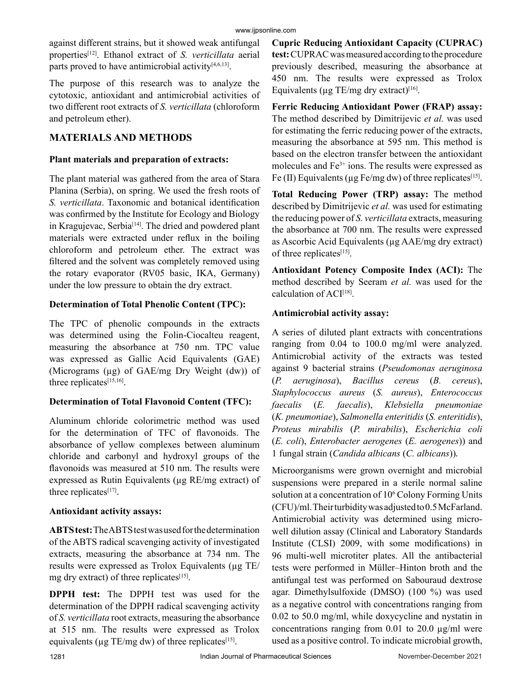against different strains, but it showed weak antifungal properties[12]. Ethanol extract of *S. verticillata* aerial parts proved to have antimicrobial activity $[4,6,13]$ .

The purpose of this research was to analyze the cytotoxic, antioxidant and antimicrobial activities of two different root extracts of *S. verticillata* (chloroform and petroleum ether).

# **MATERIALS AND METHODS**

## **Plant materials and preparation of extracts:**

The plant material was gathered from the area of Stara Planina (Serbia), on spring. We used the fresh roots of *S. verticillata*. Taxonomic and botanical identification was confirmed by the Institute for Ecology and Biology in Kragujevac, Serbia<sup>[14]</sup>. The dried and powdered plant materials were extracted under reflux in the boiling chloroform and petroleum ether. The extract was filtered and the solvent was completely removed using the rotary evaporator (RV05 basic, IKA, Germany) under the low pressure to obtain the dry extract.

# **Determination of Total Phenolic Content (TPC):**

The TPC of phenolic compounds in the extracts was determined using the Folin-Ciocalteu reagent, measuring the absorbance at 750 nm. TPC value was expressed as Gallic Acid Equivalents (GAE) (Micrograms  $(\mu g)$  of GAE/mg Dry Weight (dw)) of three replicates<sup>[15,16]</sup>.

# **Determination of Total Flavonoid Content (TFC):**

Aluminum chloride colorimetric method was used for the determination of TFC of flavonoids. The absorbance of yellow complexes between aluminum chloride and carbonyl and hydroxyl groups of the flavonoids was measured at 510 nm. The results were expressed as Rutin Equivalents (µg RE/mg extract) of three replicates<sup>[17]</sup>.

# **Antioxidant activity assays:**

**ABTS test:** The ABTS test was used for the determination of the ABTS radical scavenging activity of investigated extracts, measuring the absorbance at 734 nm. The results were expressed as Trolox Equivalents (µg TE/ mg dry extract) of three replicates $[15]$ .

**DPPH test:** The DPPH test was used for the determination of the DPPH radical scavenging activity of *S. verticillata* root extracts, measuring the absorbance at 515 nm. The results were expressed as Trolox equivalents ( $\mu$ g TE/mg dw) of three replicates<sup>[15]</sup>.

**Cupric Reducing Antioxidant Capacity (CUPRAC) test:** CUPRACwas measured according to the procedure previously described, measuring the absorbance at 450 nm. The results were expressed as Trolox Equivalents ( $\mu$ g TE/mg dry extract)<sup>[16]</sup>.

**Ferric Reducing Antioxidant Power (FRAP) assay:**  The method described by Dimitrijevic *et al.* was used for estimating the ferric reducing power of the extracts, measuring the absorbance at 595 nm. This method is based on the electron transfer between the antioxidant molecules and  $Fe<sup>3+</sup>$  ions. The results were expressed as Fe (II) Equivalents ( $\mu$ g Fe/mg dw) of three replicates<sup>[15]</sup>.

**Total Reducing Power (TRP) assay:** The method described by Dimitrijevic *et al.* was used for estimating the reducing power of *S. verticillata* extracts, measuring the absorbance at 700 nm. The results were expressed as Ascorbic Acid Equivalents (µg AAE/mg dry extract) of three replicates<sup>[15]</sup>.

**Antioxidant Potency Composite Index (ACI):** The method described by Seeram *et al.* was used for the calculation of  $ACI^{[18]}$ .

# **Antimicrobial activity assay:**

A series of diluted plant extracts with concentrations ranging from 0.04 to 100.0 mg/ml were analyzed. Antimicrobial activity of the extracts was tested against 9 bacterial strains (*Pseudomonas aeruginosa*  (*P. aeruginosa*), *Bacillus cereus* (*B. cereus*), *Staphylococcus aureus* (*S. aureus*), *Enterococcus faecalis* (*E. faecalis*), *Klebsiella pneumoniae*  (*K. pneumoniae*), *Salmonella enteritidis* (*S. enteritidis*), *Proteus mirabilis* (*P. mirabilis*), *Escherichia coli*  (*E. coli*), *Enterobacter aerogenes* (*E. aerogenes*)) and 1 fungal strain (*Candida albicans* (*C. albicans*))*.*

Microorganisms were grown overnight and microbial suspensions were prepared in a sterile normal saline solution at a concentration of 10<sup>6</sup> Colony Forming Units (CFU)/ml. Their turbidity was adjusted to 0.5 McFarland. Antimicrobial activity was determined using microwell dilution assay (Clinical and Laboratory Standards Institute (CLSI) 2009, with some modifications) in 96 multi-well microtiter plates. All the antibacterial tests were performed in Müller–Hinton broth and the antifungal test was performed on Sabouraud dextrose agar. Dimethylsulfoxide (DMSO) (100 %) was used as a negative control with concentrations ranging from 0.02 to 50.0 mg/ml, while doxycycline and nystatin in concentrations ranging from 0.01 to 20.0 µg/ml were used as a positive control. To indicate microbial growth,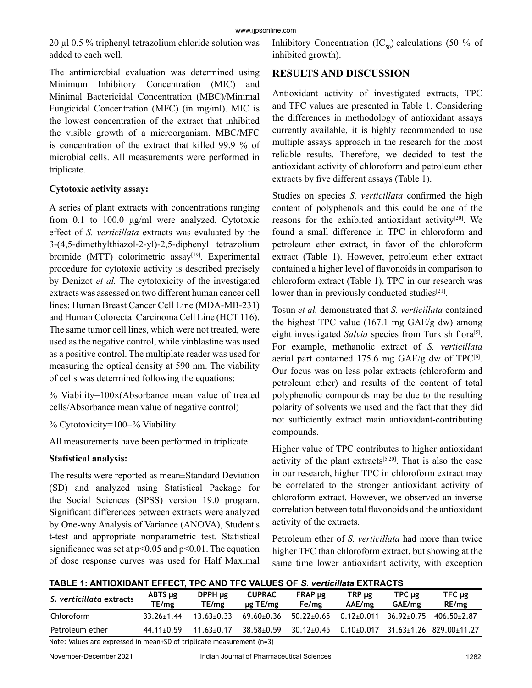20 µl 0.5 % triphenyl tetrazolium chloride solution was added to each well.

The antimicrobial evaluation was determined using Minimum Inhibitory Concentration (MIC) and Minimal Bactericidal Concentration (MBC)/Minimal Fungicidal Concentration (MFC) (in mg/ml). MIC is the lowest concentration of the extract that inhibited the visible growth of a microorganism. MBC/MFC is concentration of the extract that killed 99.9 % of microbial cells. All measurements were performed in triplicate.

#### **Cytotoxic activity assay:**

A series of plant extracts with concentrations ranging from 0.1 to 100.0 μg/ml were analyzed. Cytotoxic effect of *S. verticillata* extracts was evaluated by the 3-(4,5-dimethylthiazol-2-yl)-2,5-diphenyl tetrazolium bromide (MTT) colorimetric  $assay^{[19]}$ . Experimental procedure for cytotoxic activity is described precisely by Denizot *et al.* The cytotoxicity of the investigated extracts was assessed on two different human cancer cell lines: Human Breast Cancer Cell Line (MDA-MB-231) and Human Colorectal Carcinoma Cell Line (HCT 116). The same tumor cell lines, which were not treated, were used as the negative control, while vinblastine was used as a positive control. The multiplate reader was used for measuring the optical density at 590 nm. The viability of cells was determined following the equations:

% Viability=100×(Absorbance mean value of treated cells/Absorbance mean value of negative control)

% Cytotoxicity=100−% Viability

All measurements have been performed in triplicate.

## **Statistical analysis:**

The results were reported as mean±Standard Deviation (SD) and analyzed using Statistical Package for the Social Sciences (SPSS) version 19.0 program. Significant differences between extracts were analyzed by One-way Analysis of Variance (ANOVA), Student's t-test and appropriate nonparametric test. Statistical significance was set at  $p<0.05$  and  $p<0.01$ . The equation of dose response curves was used for Half Maximal Inhibitory Concentration (IC<sub>50</sub>) calculations (50 % of inhibited growth).

## **RESULTS AND DISCUSSION**

Antioxidant activity of investigated extracts, TPC and TFC values are presented in Table 1. Considering the differences in methodology of antioxidant assays currently available, it is highly recommended to use multiple assays approach in the research for the most reliable results. Therefore, we decided to test the antioxidant activity of chloroform and petroleum ether extracts by five different assays (Table 1).

Studies on species *S. verticillata* confirmed the high content of polyphenols and this could be one of the reasons for the exhibited antioxidant activity<sup>[20]</sup>. We found a small difference in TPC in chloroform and petroleum ether extract, in favor of the chloroform extract (Table 1). However, petroleum ether extract contained a higher level of flavonoids in comparison to chloroform extract (Table 1). TPC in our research was lower than in previously conducted studies $[21]$ .

Tosun *et al.* demonstrated that *S. verticillata* contained the highest TPC value (167.1 mg GAE/g dw) among eight investigated *Salvia* species from Turkish flora<sup>[5]</sup>. For example, methanolic extract of *S. verticillata* aerial part contained 175.6 mg  $GAE/g$  dw of TPC $[6]$ . Our focus was on less polar extracts (chloroform and petroleum ether) and results of the content of total polyphenolic compounds may be due to the resulting polarity of solvents we used and the fact that they did not sufficiently extract main antioxidant-contributing compounds.

Higher value of TPC contributes to higher antioxidant activity of the plant extracts $[5,20]$ . That is also the case in our research, higher TPC in chloroform extract may be correlated to the stronger antioxidant activity of chloroform extract. However, we observed an inverse correlation between total flavonoids and the antioxidant activity of the extracts.

Petroleum ether of *S. verticillata* had more than twice higher TFC than chloroform extract, but showing at the same time lower antioxidant activity, with exception

#### **TABLE 1: ANTIOXIDANT EFFECT, TPC AND TFC VALUES OF** *S. verticillata* **EXTRACTS**

| S. verticillata extracts | ABTS µg<br>TE/mg | $DPPH \mu g$<br>TE/mg | <b>CUPRAC</b><br>$\mu$ g TE/mg | $FRAP \mu g$<br>Fe/mg | $TRP \mu$ g<br>AAE/mg         | TPC ug<br>GAE/mg | TFC µg<br>RE/mg                          |
|--------------------------|------------------|-----------------------|--------------------------------|-----------------------|-------------------------------|------------------|------------------------------------------|
| Chloroform               | $33.26 + 1.44$   | $13.63 \pm 0.33$      | $69.60 \pm 0.36$               | $50.22 \pm 0.65$      | $0.12{\scriptstyle \pm0.011}$ | 36.92+0.75       | 406.50±2.87                              |
| Petroleum ether          | $44.11 \pm 0.59$ | $11.63 \pm 0.17$      | $38.58 + 0.59$                 | $30.12 \pm 0.45$      |                               |                  | $0.10+0.017$ $31.63+1.26$ $829.00+11.27$ |

Note: Values are expressed in mean±SD of triplicate measurement (n=3)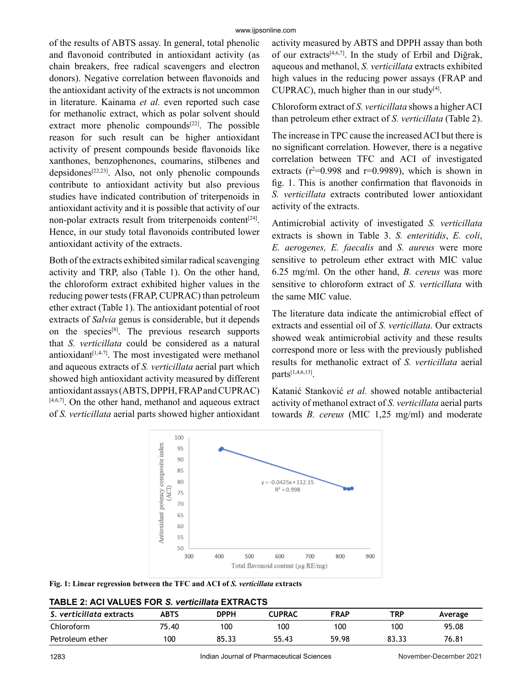of the results of ABTS assay. In general, total phenolic and flavonoid contributed in antioxidant activity (as chain breakers, free radical scavengers and electron donors). Negative correlation between flavonoids and the antioxidant activity of the extracts is not uncommon in literature. Kainama *et al.* even reported such case for methanolic extract, which as polar solvent should extract more phenolic compounds $[22]$ . The possible reason for such result can be higher antioxidant activity of present compounds beside flavonoids like xanthones, benzophenones, coumarins, stilbenes and  $depsidones^{[22,23]}$ . Also, not only phenolic compounds contribute to antioxidant activity but also previous studies have indicated contribution of triterpenoids in antioxidant activity and it is possible that activity of our non-polar extracts result from triterpenoids content<sup>[24]</sup>. Hence, in our study total flavonoids contributed lower antioxidant activity of the extracts.

Both of the extracts exhibited similar radical scavenging activity and TRP, also (Table 1). On the other hand, the chloroform extract exhibited higher values in the reducing power tests (FRAP, CUPRAC) than petroleum ether extract (Table 1). The antioxidant potential of root extracts of *Salvia* genus is considerable, but it depends on the species[8]. The previous research supports that *S. verticillata* could be considered as a natural antioxidant $[1,4-7]$ . The most investigated were methanol and aqueous extracts of *S. verticillata* aerial part which showed high antioxidant activity measured by different antioxidant assays (ABTS, DPPH, FRAP and CUPRAC)  $[4,6,7]$ . On the other hand, methanol and aqueous extract of *S. verticillata* aerial parts showed higher antioxidant activity measured by ABTS and DPPH assay than both of our extracts<sup>[4,6,7]</sup>. In the study of Erbil and Diğrak, aqueous and methanol, *S. verticillata* extracts exhibited high values in the reducing power assays (FRAP and CUPRAC), much higher than in our study $[4]$ .

Chloroform extract of *S. verticillata* shows a higher ACI than petroleum ether extract of *S. verticillata* (Table 2).

The increase in TPC cause the increased ACI but there is no significant correlation. However, there is a negative correlation between TFC and ACI of investigated extracts ( $r^2$ =0.998 and  $r$ =0.9989), which is shown in fig. 1. This is another confirmation that flavonoids in *S. verticillata* extracts contributed lower antioxidant activity of the extracts.

Antimicrobial activity of investigated *S. verticillata* extracts is shown in Table 3. *S. enteritidis*, *E. coli*, *E. aerogenes, E. faecalis* and *S. aureus* were more sensitive to petroleum ether extract with MIC value 6.25 mg/ml. On the other hand, *B. cereus* was more sensitive to chloroform extract of *S. verticillata* with the same MIC value.

The literature data indicate the antimicrobial effect of extracts and essential oil of *S. verticillata*. Our extracts showed weak antimicrobial activity and these results correspond more or less with the previously published results for methanolic extract of *S. verticillata* aerial parts[1,4,6,13].

Katanić Stanković *et al.* showed notable antibacterial activity of methanol extract of *S. verticillata* aerial parts towards *B. cereus* (МIC 1,25 mg/ml) and moderate



**Fig. 1: Linear regression between the TFC and ACI of** *S. verticillata* **extracts**

| <b>TABLE 2: ACI VALUES FOR S. verticillata EXTRACTS</b> |  |
|---------------------------------------------------------|--|
|---------------------------------------------------------|--|

| S. verticillata extracts | ABTS  | <b>DPPH</b> | CUPRAC | <b>FRAP</b> | TRP   | Average |
|--------------------------|-------|-------------|--------|-------------|-------|---------|
| Chloroform               | 75.40 | 100         | 100    | 100         | 100   | 95.08   |
| Petroleum ether          | 100   | 85.33       | 55.43  | 59.98       | 83.33 | 76.81   |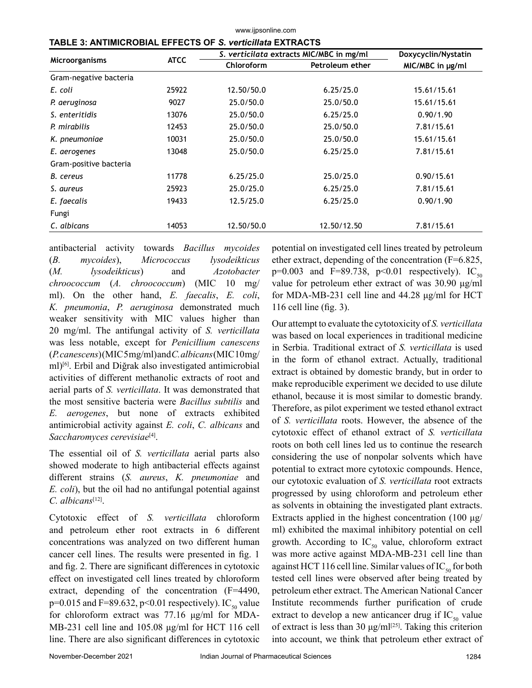| <b>TABLE 3: ANTIMICROBIAL EFFECTS OF S. verticillata EXTRACTS</b> |             |                                          |                     |                         |  |  |
|-------------------------------------------------------------------|-------------|------------------------------------------|---------------------|-------------------------|--|--|
|                                                                   | <b>ATCC</b> | S. verticilata extracts MIC/MBC in mg/ml | Doxycyclin/Nystatin |                         |  |  |
| Microorganisms                                                    |             | Chloroform                               | Petroleum ether     | $MIC/MBC$ in $\mu g/ml$ |  |  |
| Gram-negative bacteria                                            |             |                                          |                     |                         |  |  |
| E. coli                                                           | 25922       | 12.50/50.0                               | 6.25/25.0           | 15.61/15.61             |  |  |
| P. aeruginosa                                                     | 9027        | 25.0/50.0                                | 25.0/50.0           | 15.61/15.61             |  |  |
| S. enteritidis                                                    | 13076       | 25.0/50.0                                | 6.25/25.0           | 0.90/1.90               |  |  |
| P. mirabilis                                                      | 12453       | 25.0/50.0                                | 25.0/50.0           | 7.81/15.61              |  |  |
| K. pneumoniae                                                     | 10031       | 25.0/50.0                                | 25.0/50.0           | 15.61/15.61             |  |  |
| E. aerogenes                                                      | 13048       | 25.0/50.0                                | 6.25/25.0           | 7.81/15.61              |  |  |
| Gram-positive bacteria                                            |             |                                          |                     |                         |  |  |
| B. cereus                                                         | 11778       | 6.25/25.0                                | 25.0/25.0           | 0.90/15.61              |  |  |
| S. aureus                                                         | 25923       | 25.0/25.0                                | 6.25/25.0           | 7.81/15.61              |  |  |
| E. faecalis                                                       | 19433       | 12.5/25.0                                | 6.25/25.0           | 0.90/1.90               |  |  |
| Fungi                                                             |             |                                          |                     |                         |  |  |
| C. albicans                                                       | 14053       | 12.50/50.0                               | 12.50/12.50         | 7.81/15.61              |  |  |

www.ijpsonline.com

antibacterial activity towards *Bacillus mycoides* (*B. mycoides*), *Micrococcus lysodeikticus* (*M. lysodeikticus*) and *Azotobacter chroococcum* (*A. chroococcum*) (MIC 10 mg/ ml). On the other hand, *E. faecalis*, *E. coli*, *K. pneumonia*, *P. aeruginosa* demonstrated much weaker sensitivity with MIC values higher than 20 mg/ml. The antifungal activity of *S. verticillata* was less notable, except for *Penicillium canescens* (*P. canescens*) (МIC 5 mg/ml) and *C. albicans* (МIC 10 mg/ ml)[6]. Erbil and Diğrak also investigated antimicrobial activities of different methanolic extracts of root and aerial parts of *S. verticillata*. It was demonstrated that the most sensitive bacteria were *Bacillus subtilis* and *E. aerogenes*, but none of extracts exhibited antimicrobial activity against *E. coli*, *C. albicans* and *Saccharomyces cerevisiae*[4].

The essential oil of *S. verticillata* aerial parts also showed moderate to high antibacterial effects against different strains (*S. aureus*, *K. pneumoniae* and *E. coli*), but the oil had no antifungal potential against *C. albicans*[12].

Cytotoxic effect of *S. verticillata* chloroform and petroleum ether root extracts in 6 different concentrations was analyzed on two different human cancer cell lines. The results were presented in fig. 1 and fig. 2. There are significant differences in cytotoxic effect on investigated cell lines treated by chloroform extract, depending of the concentration (F=4490,  $p=0.015$  and F=89.632,  $p<0.01$  respectively). IC<sub>50</sub> value for chloroform extract was 77.16 μg/ml for MDA-MB-231 cell line and 105.08 μg/ml for HCT 116 cell line. There are also significant differences in cytotoxic

potential on investigated cell lines treated by petroleum ether extract, depending of the concentration (F=6.825,  $p=0.003$  and F=89.738,  $p<0.01$  respectively). IC<sub>50</sub> value for petroleum ether extract of was 30.90 μg/ml for MDA-MB-231 cell line and 44.28 μg/ml for HCT 116 cell line (fig. 3).

Our attempt to evaluate the cytotoxicity of *S. verticillata* was based on local experiences in traditional medicine in Serbia. Traditional extract of *S. verticillata* is used in the form of ethanol extract. Actually, traditional extract is obtained by domestic brandy, but in order to make reproducible experiment we decided to use dilute ethanol, because it is most similar to domestic brandy. Therefore, as pilot experiment we tested ethanol extract of *S. verticillata* roots. However, the absence of the cytotoxic effect of ethanol extract of *S. verticillata* roots on both cell lines led us to continue the research considering the use of nonpolar solvents which have potential to extract more cytotoxic compounds. Hence, our cytotoxic evaluation of *S. verticillata* root extracts progressed by using chloroform and petroleum ether as solvents in obtaining the investigated plant extracts. Extracts applied in the highest concentration (100  $\mu$ g/ ml) exhibited the maximal inhibitory potential on cell growth. According to  $IC_{50}$  value, chloroform extract was more active against MDA-MB-231 cell line than against HCT 116 cell line. Similar values of  $IC_{\epsilon_0}$  for both tested cell lines were observed after being treated by petroleum ether extract. The American National Cancer Institute recommends further purification of crude extract to develop a new anticancer drug if  $IC_{50}$  value of extract is less than 30  $\mu$ g/ml<sup>[25]</sup>. Taking this criterion into account, we think that petroleum ether extract of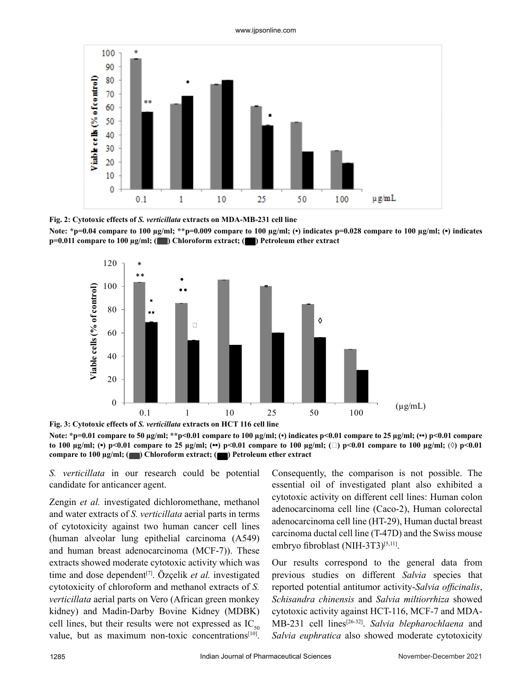

**Fig. 2: Cytotoxic effects of** *S. verticillata* **extracts on MDA-MB-231 cell line**







**Note: \*p=0.01 compare to 50 µg/ml; \*\*p<0.01 compare to 100 µg/ml; (•) indicates p<0.01 compare to 25 µg/ml; (••) p<0.01 compare to 100 µg/ml; (\*) p<0.01 compare to 25 µg/ml; (\*\*) p<0.01 compare to 100 µg/ml; (** $\Box$ **) p<0.01 compare to 100 µg/ml; (** $\Diamond$ **) p<0.01 compare to 100 µg/ml; (** ) Chloroform extract; ( ) Petroleum ether extract

*S. verticillata* in our research could be potential candidate for anticancer agent.

Zengin *et al.* investigated dichloromethane, methanol and water extracts of *S. verticillata* aerial parts in terms of cytotoxicity against two human cancer cell lines (human alveolar lung epithelial carcinoma (A549) and human breast adenocarcinoma (MCF-7)). These extracts showed moderate cytotoxic activity which was time and dose dependent<sup>[7]</sup>. Özçelik *et al.* investigated cytotoxicity of chloroform and methanol extracts of *S. verticillata* aerial parts on Vero (African green monkey kidney) and Madin-Darby Bovine Kidney (MDBK) cell lines, but their results were not expressed as  $IC_{50}$ value, but as maximum non-toxic concentrations<sup>[10]</sup>.

Consequently, the comparison is not possible. The essential oil of investigated plant also exhibited a cytotoxic activity on different cell lines: Human colon adenocarcinoma cell line (Caco-2), Human colorectal adenocarcinoma cell line (HT-29), Human ductal breast carcinoma ductal cell line (T-47D) and the Swiss mouse embryo fibroblast (NIH-3T3)<sup>[5,11]</sup>.

Our results correspond to the general data from previous studies on different *Salvia* species that reported potential antitumor activity-*Salvia officinalis*, *Schisandra chinensis* and *Salvia miltiorrhiza* showed cytotoxic activity against HCT-116, MCF-7 and MDA-MB-231 cell lines[26-32]. *Salvia blepharochlaena* and *Salvia euphratica* also showed moderate cytotoxicity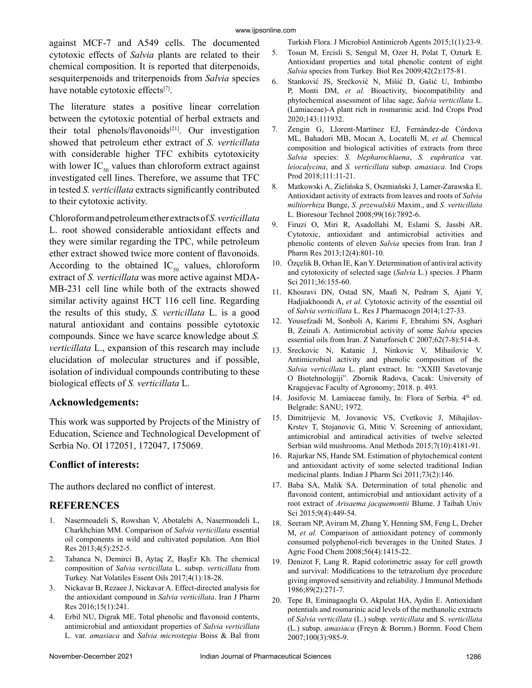Turkish Flora. J Microbiol Antimicrob Agents 2015;1(1):23-9.

against MCF-7 and A549 cells. The documented cytotoxic effects of *Salvia* plants are related to their chemical composition. It is reported that diterpenoids, sesquiterpenoids and triterpenoids from *Salvia* species have notable cytotoxic effects[7].

The literature states a positive linear correlation between the cytotoxic potential of herbal extracts and their total phenols/flavonoids $[21]$ . Our investigation showed that petroleum ether extract of *S. verticillata* with considerable higher TFC exhibits cytotoxicity with lower  $IC_{50}$  values than chloroform extract against investigated cell lines. Therefore, we assume that TFC in tested *S. verticillata* extracts significantly contributed to their cytotoxic activity.

Chloroform and petroleum ether extracts of *S. verticillata* L. root showed considerable antioxidant effects and they were similar regarding the TPC, while petroleum ether extract showed twice more content of flavonoids. According to the obtained  $IC_{50}$  values, chloroform extract of *S. verticillata* was more active against MDA-MB-231 cell line while both of the extracts showed similar activity against HCT 116 cell line. Regarding the results of this study, *S. verticillata* L. is a good natural antioxidant and contains possible cytotoxic compounds. Since we have scarce knowledge about *S. verticillata* L., expansion of this research may include elucidation of molecular structures and if possible, isolation of individual compounds contributing to these biological effects of *S. verticillata* L.

## **Acknowledgements:**

This work was supported by Projects of the Ministry of Education, Science and Technological Development of Serbia No. OI 172051, 172047, 175069.

## **Conflict of interests:**

The authors declared no conflict of interest.

## **REFERENCES**

- 1. Nasermoadeli S, Rowshan V, Abotalebi A, Nasermoadeli L, Charkhchian MM. Comparison of *Salvia verticillata* essential oil components in wild and cultivated population. Ann Biol Res 2013;4(5):252-5.
- 2. Tabanca N, Demirci B, Aytaç Z, BaşEr Kh. The chemical composition of *Salvia verticillata* L. subsp. *verticillata* from Turkey. Nat Volatiles Essent Oils 2017;4(1):18-28.
- 3. Nickavar B, Rezaee J, Nickavar A. Effect-directed analysis for the antioxidant compound in *Salvia verticillata*. Iran J Pharm Res 2016;15(1):241.
- 4. Erbil NU, Digrak ME. Total phenolic and flavonoid contents, antimicrobial and antioxidant properties of *Salvia verticillata* L. var. *amasiaca* and *Salvia microstegia* Boiss & Bal from
- 5. Tosun M, Ercisli S, Sengul M, Ozer H, Polat T, Ozturk E. Antioxidant properties and total phenolic content of eight *Salvia* species from Turkey. Biol Res 2009;42(2):175-81.
- 6. Stanković JS, Srećković N, Mišić D, Gašić U, Imbimbo P, Monti DM, *et al.* Bioactivity, biocompatibility and phytochemical assessment of lilac sage, *Salvia verticillata* L. (Lamiaceae)-A plant rich in rosmarinic acid. Ind Crops Prod 2020;143:111932.
- 7. Zengin G, Llorent-Martínez EJ, Fernández-de Córdova ML, Bahadori MB, Mocan A, Locatelli M, *et al.* Chemical composition and biological activities of extracts from three *Salvia* species: *S. blepharochlaena*, *S. euphratica* var. *leiocalycina*, and *S. verticillata* subsp. *amasiaca*. Ind Crops Prod 2018;111:11-21.
- 8. Matkowski A, Zielińska S, Oszmiański J, Lamer-Zarawska E. Antioxidant activity of extracts from leaves and roots of *Salvia miltiorrhiza* Bunge, *S. przewalskii* Maxim., and *S. verticillata* L. Bioresour Technol 2008;99(16):7892-6.
- 9. Firuzi O, Miri R, Asadollahi M, Eslami S, Jassbi AR. Cytotoxic, antioxidant and antimicrobial activities and phenolic contents of eleven *Salvia* species from Iran. Iran J Pharm Res 2013;12(4):801-10.
- 10. Özçelik B, Orhan İE, Kan Y. Determination of antiviral activity and cytotoxicity of selected sage (*Salvia* L.) species. J Pharm Sci 2011;36:155-60.
- 11. Khosravi DN, Ostad SN, Maafi N, Pedram S, Ajani Y, Hadjiakhoondi A, *et al.* Cytotoxic activity of the essential oil of *Salvia verticillata* L. Res J Pharmacogn 2014;1:27-33.
- 12. Yousefzadi M, Sonboli A, Karimi F, Ebrahimi SN, Asghari B, Zeinali A. Antimicrobial activity of some *Salvia* species essential oils from Iran. Z Naturforsch C 2007;62(7-8):514-8.
- 13. Sreckovic N, Katanic J, Ninkovic V, Mihailovic V. Antimicrobial activity and phenolic composition of the *Salvia verticillata* L. plant extract. In: "XXIII Savetovanje O Biotehnologiji". Zbornik Radova, Cacak: University of Kragujevac Faculty of Agronomy; 2018. p. 493.
- 14. Josifovic M. Lamiaceae family, In: Flora of Serbia. 4<sup>th</sup> ed. Belgrade: SANU; 1972.
- 15. Dimitrijevic M, Jovanovic VS, Cvetkovic J, Mihajilov-Krstev T, Stojanovic G, Mitic V. Screening of antioxidant, antimicrobial and antiradical activities of twelve selected Serbian wild mushrooms. Anal Methods 2015;7(10):4181-91.
- 16. Rajurkar NS, Hande SM. Estimation of phytochemical content and antioxidant activity of some selected traditional Indian medicinal plants. Indian J Pharm Sci 2011;73(2):146.
- 17. Baba SA, Malik SA. Determination of total phenolic and flavonoid content, antimicrobial and antioxidant activity of a root extract of *Arisaema jacquemontii* Blume. J Taibah Univ Sci 2015;9(4):449-54.
- 18. Seeram NP, Aviram M, Zhang Y, Henning SM, Feng L, Dreher M, *et al.* Comparison of antioxidant potency of commonly consumed polyphenol-rich beverages in the United States. J Agric Food Chem 2008;56(4):1415-22.
- 19. Denizot F, Lang R. Rapid colorimetric assay for cell growth and survival: Modifications to the tetrazolium dye procedure giving improved sensitivity and reliability. J Immunol Methods 1986;89(2):271-7.
- 20. Tepe B, Eminagaoglu O, Akpulat HA, Aydin E. Antioxidant potentials and rosmarinic acid levels of the methanolic extracts of *Salvia verticillata* (L.) subsp. *verticillata* and S. *verticillata* (L.) subsp. *amasiaca* (Freyn & Bornm.) Bornm. Food Chem 2007;100(3):985-9.